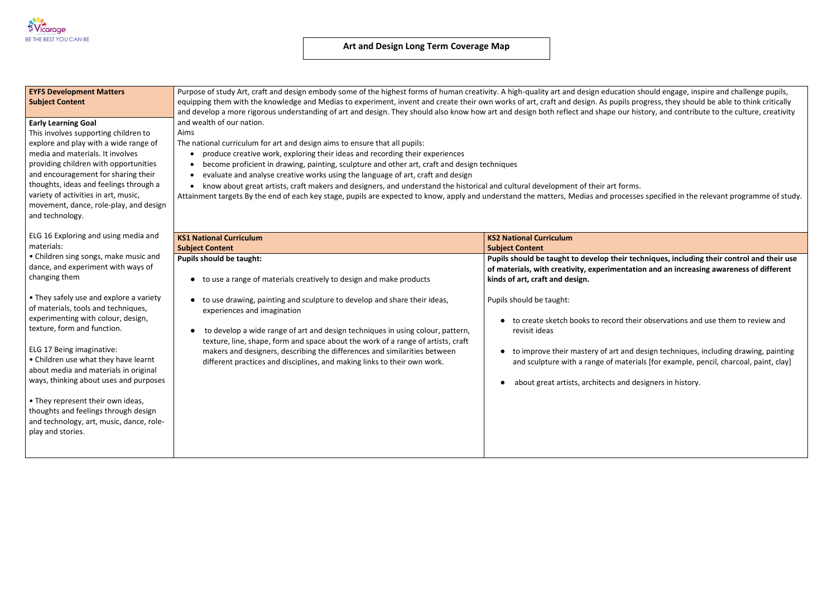

# **EYFS Development Matters Subject Content**

Purpose of study Art, craft and design embody some of the highest forms of human creativity. A high-quality art and design education should engage, inspire and challenge pupils, equipping them with the knowledge and Medias to experiment, invent and create their own works of art, craft and design. As pupils progress, they should be able to think critically and develop a more rigorous understanding of art and design. They should also know how art and design both reflect and shape our history, and contribute to the culture, creativity and wealth of our nation.

Aims

The national curriculum for art and design aims to ensure that all pupils:

- produce creative work, exploring their ideas and recording their experiences
- become proficient in drawing, painting, sculpture and other art, craft and design techniques
- evaluate and analyse creative works using the language of art, craft and design

 know about great artists, craft makers and designers, and understand the historical and cultural development of their art forms. Attainment targets By the end of each key stage, pupils are expected to know, apply and understand the matters, Medias and processes specified in the relevant programme of study.

## **Early Learning Goal**

This involves supporting children to explore and play with a wide range of media and materials. It involves providing children with opportunities and encouragement for sharing their thoughts, ideas and feelings through a variety of activities in art, music, movement, dance, role-play, and design and technology.

ELG 16 Exploring and using media and materials:

• Children sing songs, make music and dance, and experiment with ways of changing them

• They safely use and explore a variety of materials, tools and techniques, experimenting with colour, design, texture, form and function.

ELG 17 Being imaginative:

• Children use what they have learnt about media and materials in original ways, thinking about uses and purposes

• They represent their own ideas, thoughts and feelings through design and technology, art, music, dance, roleplay and stories.

| <b>KS1 National Curriculum</b>                                                                        | <b>KS2 National Curriculum</b>                                                                                                 |  |  |
|-------------------------------------------------------------------------------------------------------|--------------------------------------------------------------------------------------------------------------------------------|--|--|
| <b>Subject Content</b>                                                                                | <b>Subject Content</b>                                                                                                         |  |  |
| <b>Pupils should be taught:</b><br>to use a range of materials creatively to design and make products | Pupils should be taught to develop their te<br>of materials, with creativity, experimentati<br>kinds of art, craft and design. |  |  |
| to use drawing, painting and sculpture to develop and share their ideas,                              | Pupils should be taught:                                                                                                       |  |  |
| experiences and imagination                                                                           | to create sketch books to record the                                                                                           |  |  |
| to develop a wide range of art and design techniques in using colour, pattern,                        | revisit ideas                                                                                                                  |  |  |
| texture, line, shape, form and space about the work of a range of artists, craft                      | to improve their mastery of art and                                                                                            |  |  |
| makers and designers, describing the differences and similarities between                             | and sculpture with a range of materi                                                                                           |  |  |
| different practices and disciplines, and making links to their own work.                              | about great artists, architects and d                                                                                          |  |  |

**Publis 20 shows: Construment incoherent** textors their use their use their use their use and their use  $\frac{1}{2}$ ion and an increasing awareness of different

eir observations and use them to review and

design techniques, including drawing, painting ials [for example, pencil, charcoal, paint, clay]

lesigners in history.

# **Art and Design Long Term Coverage Map**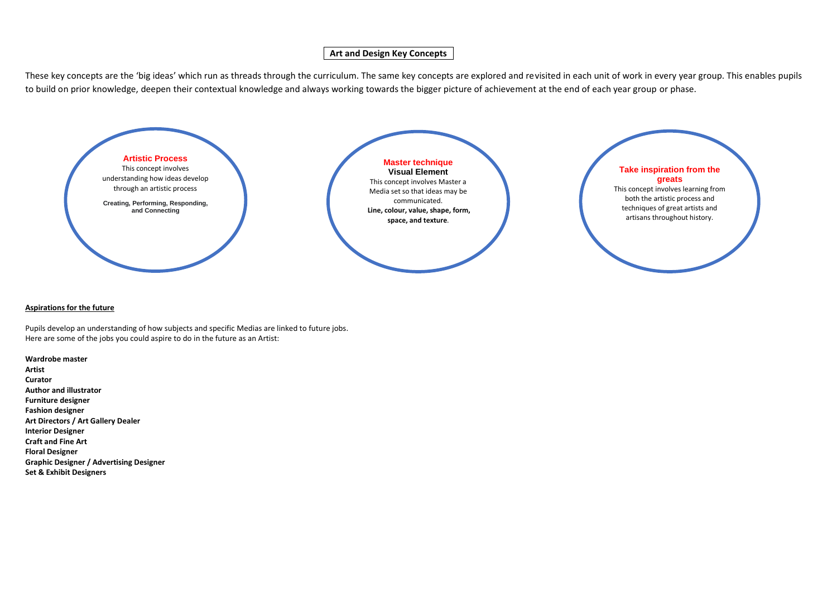# **Art and Design Key Concepts**

These key concepts are the 'big ideas' which run as threads through the curriculum. The same key concepts are explored and revisited in each unit of work in every year group. This enables pupils to build on prior knowledge, deepen their contextual knowledge and always working towards the bigger picture of achievement at the end of each year group or phase.

### **Aspirations for the future**

Pupils develop an understanding of how subjects and specific Medias are linked to future jobs. Here are some of the jobs you could aspire to do in the future as an Artist:

**Wardrobe master Artist Curator Author and illustrator Furniture designer Fashion designer Art Directors / Art Gallery Dealer Interior Designer Craft and Fine Art Floral Designer Graphic Designer / Advertising Designer Set & Exhibit Designers**

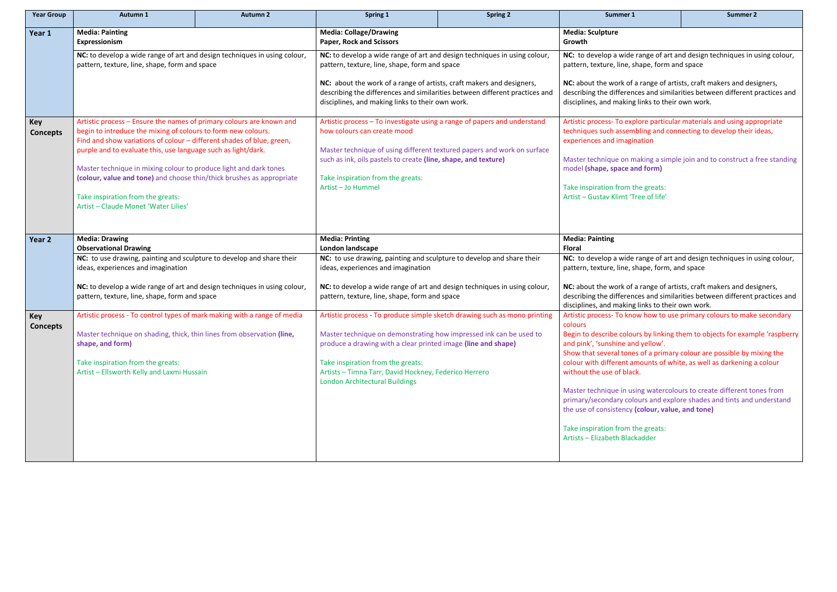| <b>Year Group</b>             | Autumn 1                                                                                                                                                                                                                                                                                                                                                                                                                      | <b>Autumn 2</b> | Spring 1                                                                                                                                                                                                                                                                                  | <b>Spring 2</b>                                                                                                                                                                            | Summer 1                                                                                                                                                                                                                                                                                  | <b>Summer 2</b>                                                           |  |
|-------------------------------|-------------------------------------------------------------------------------------------------------------------------------------------------------------------------------------------------------------------------------------------------------------------------------------------------------------------------------------------------------------------------------------------------------------------------------|-----------------|-------------------------------------------------------------------------------------------------------------------------------------------------------------------------------------------------------------------------------------------------------------------------------------------|--------------------------------------------------------------------------------------------------------------------------------------------------------------------------------------------|-------------------------------------------------------------------------------------------------------------------------------------------------------------------------------------------------------------------------------------------------------------------------------------------|---------------------------------------------------------------------------|--|
| Year 1                        | <b>Media: Painting</b><br>Expressionism<br>NC: to develop a wide range of art and design techniques in using colour,<br>pattern, texture, line, shape, form and space                                                                                                                                                                                                                                                         |                 | <b>Media: Collage/Drawing</b><br><b>Paper, Rock and Scissors</b><br>NC: to develop a wide range of art and design techniques in using colour,<br>pattern, texture, line, shape, form and space                                                                                            |                                                                                                                                                                                            | <b>Media: Sculpture</b><br>Growth<br>NC: to develop a wide range of art and design techniques in using colour,<br>pattern, texture, line, shape, form and space                                                                                                                           |                                                                           |  |
|                               |                                                                                                                                                                                                                                                                                                                                                                                                                               |                 |                                                                                                                                                                                                                                                                                           |                                                                                                                                                                                            |                                                                                                                                                                                                                                                                                           |                                                                           |  |
|                               |                                                                                                                                                                                                                                                                                                                                                                                                                               |                 | NC: about the work of a range of artists, craft makers and designers,<br>describing the differences and similarities between different practices and<br>disciplines, and making links to their own work.                                                                                  |                                                                                                                                                                                            | NC: about the work of a range of artists, craft makers and designers,<br>describing the differences and similarities between different practices and<br>disciplines, and making links to their own work.                                                                                  |                                                                           |  |
| <b>Key</b><br><b>Concepts</b> | Artistic process - Ensure the names of primary colours are known and<br>begin to introduce the mixing of colours to form new colours.<br>Find and show variations of colour - different shades of blue, green,<br>purple and to evaluate this, use language such as light/dark.<br>Master technique in mixing colour to produce light and dark tones<br>(colour, value and tone) and choose thin/thick brushes as appropriate |                 | Artistic process - To investigate using a range of papers and understand<br>how colours can create mood<br>Master technique of using different textured papers and work on surface<br>such as ink, oils pastels to create (line, shape, and texture)<br>Take inspiration from the greats: |                                                                                                                                                                                            | Artistic process- To explore particular materials and using appropriate<br>techniques such assembling and connecting to develop their ideas,<br>experiences and imagination<br>Master technique on making a simple join and to construct a free standing<br>model (shape, space and form) |                                                                           |  |
|                               |                                                                                                                                                                                                                                                                                                                                                                                                                               |                 |                                                                                                                                                                                                                                                                                           |                                                                                                                                                                                            |                                                                                                                                                                                                                                                                                           |                                                                           |  |
|                               | Take inspiration from the greats:<br>Artist - Claude Monet 'Water Lilies'                                                                                                                                                                                                                                                                                                                                                     |                 |                                                                                                                                                                                                                                                                                           | Artist-Jo Hummel                                                                                                                                                                           |                                                                                                                                                                                                                                                                                           | Take inspiration from the greats:<br>Artist - Gustay Klimt 'Tree of life' |  |
| Year 2                        | <b>Media: Drawing</b><br><b>Observational Drawing</b>                                                                                                                                                                                                                                                                                                                                                                         |                 | <b>Media: Printing</b><br>London landscape                                                                                                                                                                                                                                                |                                                                                                                                                                                            | <b>Media: Painting</b><br><b>Floral</b>                                                                                                                                                                                                                                                   |                                                                           |  |
|                               | NC: to use drawing, painting and sculpture to develop and share their<br>ideas, experiences and imagination                                                                                                                                                                                                                                                                                                                   |                 | NC: to use drawing, painting and sculpture to develop and share their<br>ideas, experiences and imagination                                                                                                                                                                               |                                                                                                                                                                                            | NC: to develop a wide range of art and design techniques in using colour,<br>pattern, texture, line, shape, form, and space                                                                                                                                                               |                                                                           |  |
|                               | NC: to develop a wide range of art and design techniques in using colour,<br>pattern, texture, line, shape, form and space                                                                                                                                                                                                                                                                                                    |                 | NC: to develop a wide range of art and design techniques in using colour,<br>pattern, texture, line, shape, form and space                                                                                                                                                                |                                                                                                                                                                                            | NC: about the work of a range of artists, craft makers and designers,<br>describing the differences and similarities between different practices and<br>disciplines, and making links to their own work.                                                                                  |                                                                           |  |
| <b>Key</b><br><b>Concepts</b> | Artistic process - To control types of mark making with a range of media<br>Master technique on shading, thick, thin lines from observation (line,<br>shape, and form)<br>Take inspiration from the greats:<br>Artist - Ellsworth Kelly and Laxmi Hussain                                                                                                                                                                     |                 | Artistic process - To produce simple sketch drawing such as mono printing                                                                                                                                                                                                                 |                                                                                                                                                                                            | Artistic process- To know how to use primary colours to make secondary<br>colours                                                                                                                                                                                                         |                                                                           |  |
|                               |                                                                                                                                                                                                                                                                                                                                                                                                                               |                 | Master technique on demonstrating how impressed ink can be used to<br>produce a drawing with a clear printed image (line and shape)<br>Take inspiration from the greats:<br>Artists - Timna Tarr, David Hockney, Federico Herrero<br><b>London Architectural Buildings</b>                | Begin to describe colours by linking them to objects for example 'raspberry<br>and pink', 'sunshine and yellow'.<br>Show that several tones of a primary colour are possible by mixing the |                                                                                                                                                                                                                                                                                           |                                                                           |  |
|                               |                                                                                                                                                                                                                                                                                                                                                                                                                               |                 |                                                                                                                                                                                                                                                                                           |                                                                                                                                                                                            | colour with different amounts of white, as well as darkening a colour<br>without the use of black.                                                                                                                                                                                        |                                                                           |  |
|                               |                                                                                                                                                                                                                                                                                                                                                                                                                               |                 |                                                                                                                                                                                                                                                                                           |                                                                                                                                                                                            | Master technique in using watercolours to create different tones from<br>primary/secondary colours and explore shades and tints and understand<br>the use of consistency (colour, value, and tone)                                                                                        |                                                                           |  |
|                               |                                                                                                                                                                                                                                                                                                                                                                                                                               |                 |                                                                                                                                                                                                                                                                                           |                                                                                                                                                                                            | Take inspiration from the greats:<br>Artists - Elizabeth Blackadder                                                                                                                                                                                                                       |                                                                           |  |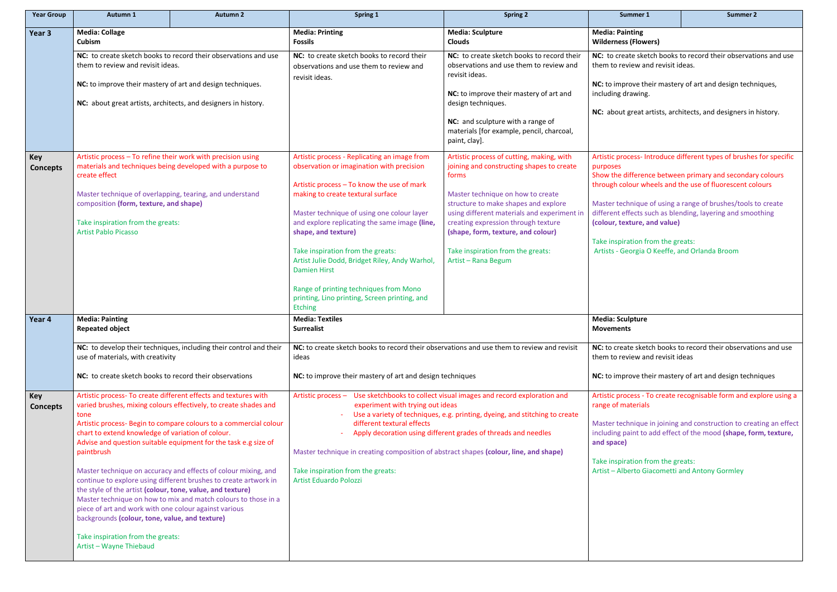| Summer 1                                                                           | <b>Summer 2</b>                                                                                                            |  |  |  |
|------------------------------------------------------------------------------------|----------------------------------------------------------------------------------------------------------------------------|--|--|--|
| <b>Media: Painting</b><br><b>Wilderness (Flowers)</b>                              |                                                                                                                            |  |  |  |
| them to review and revisit ideas.                                                  | NC: to create sketch books to record their observations and use                                                            |  |  |  |
| including drawing.                                                                 | NC: to improve their mastery of art and design techniques,                                                                 |  |  |  |
|                                                                                    | NC: about great artists, architects, and designers in history.                                                             |  |  |  |
|                                                                                    |                                                                                                                            |  |  |  |
| purposes                                                                           | Artistic process- Introduce different types of brushes for specific                                                        |  |  |  |
|                                                                                    | Show the difference between primary and secondary colours<br>through colour wheels and the use of fluorescent colours      |  |  |  |
| (colour, texture, and value)                                                       | Master technique of using a range of brushes/tools to create<br>different effects such as blending, layering and smoothing |  |  |  |
| Take inspiration from the greats:<br>Artists - Georgia O Keeffe, and Orlanda Broom |                                                                                                                            |  |  |  |
|                                                                                    |                                                                                                                            |  |  |  |
|                                                                                    |                                                                                                                            |  |  |  |

| <b>Year Group</b>             | Autumn 1                                                                                                                                                                                                                                                                                                                                                                                                                                              | <b>Autumn 2</b>                                                                                                                                                                                                                                                                                                                                                                                                                                                                     | Spring 1                                                                                                                                                                                                                                                                                                                                                                                                                                                                                                               | <b>Spring 2</b>                                                                                                                                                                                                                                                                                                                                                      | Summer 1                                                                                                                                                                                                                                                                                                                                                                                                                                                                                                                                                    | <b>Summer 2</b> |
|-------------------------------|-------------------------------------------------------------------------------------------------------------------------------------------------------------------------------------------------------------------------------------------------------------------------------------------------------------------------------------------------------------------------------------------------------------------------------------------------------|-------------------------------------------------------------------------------------------------------------------------------------------------------------------------------------------------------------------------------------------------------------------------------------------------------------------------------------------------------------------------------------------------------------------------------------------------------------------------------------|------------------------------------------------------------------------------------------------------------------------------------------------------------------------------------------------------------------------------------------------------------------------------------------------------------------------------------------------------------------------------------------------------------------------------------------------------------------------------------------------------------------------|----------------------------------------------------------------------------------------------------------------------------------------------------------------------------------------------------------------------------------------------------------------------------------------------------------------------------------------------------------------------|-------------------------------------------------------------------------------------------------------------------------------------------------------------------------------------------------------------------------------------------------------------------------------------------------------------------------------------------------------------------------------------------------------------------------------------------------------------------------------------------------------------------------------------------------------------|-----------------|
| Year 3                        | <b>Media: Collage</b><br>Cubism                                                                                                                                                                                                                                                                                                                                                                                                                       | <b>Media: Sculpture</b><br><b>Media: Printing</b><br><b>Fossils</b><br><b>Clouds</b>                                                                                                                                                                                                                                                                                                                                                                                                |                                                                                                                                                                                                                                                                                                                                                                                                                                                                                                                        |                                                                                                                                                                                                                                                                                                                                                                      | <b>Media: Painting</b><br><b>Wilderness (Flowers)</b>                                                                                                                                                                                                                                                                                                                                                                                                                                                                                                       |                 |
|                               | NC: to create sketch books to record their observations and use<br>them to review and revisit ideas.                                                                                                                                                                                                                                                                                                                                                  |                                                                                                                                                                                                                                                                                                                                                                                                                                                                                     | NC: to create sketch books to record their<br>observations and use them to review and<br>revisit ideas.                                                                                                                                                                                                                                                                                                                                                                                                                | NC: to create sketch books to record their<br>observations and use them to review and<br>revisit ideas.                                                                                                                                                                                                                                                              | NC: to create sketch books to record their observati<br>them to review and revisit ideas.                                                                                                                                                                                                                                                                                                                                                                                                                                                                   |                 |
|                               | NC: to improve their mastery of art and design techniques.<br>NC: about great artists, architects, and designers in history.<br>Artistic process - To refine their work with precision using<br>materials and techniques being developed with a purpose to<br>create effect<br>Master technique of overlapping, tearing, and understand<br>composition (form, texture, and shape)<br>Take inspiration from the greats:<br><b>Artist Pablo Picasso</b> |                                                                                                                                                                                                                                                                                                                                                                                                                                                                                     |                                                                                                                                                                                                                                                                                                                                                                                                                                                                                                                        | NC: to improve their mastery of art and<br>design techniques.                                                                                                                                                                                                                                                                                                        | NC: to improve their mastery of art and design techn<br>including drawing.<br>NC: about great artists, architects, and designers in<br>Artistic process- Introduce different types of brushes<br>purposes<br>Show the difference between primary and secondar<br>through colour wheels and the use of fluorescent co<br>Master technique of using a range of brushes/tools t<br>different effects such as blending, layering and smod<br>(colour, texture, and value)<br>Take inspiration from the greats:<br>Artists - Georgia O Keeffe, and Orlanda Broom |                 |
|                               |                                                                                                                                                                                                                                                                                                                                                                                                                                                       |                                                                                                                                                                                                                                                                                                                                                                                                                                                                                     |                                                                                                                                                                                                                                                                                                                                                                                                                                                                                                                        | NC: and sculpture with a range of<br>materials [for example, pencil, charcoal,<br>paint, clay].                                                                                                                                                                                                                                                                      |                                                                                                                                                                                                                                                                                                                                                                                                                                                                                                                                                             |                 |
| <b>Key</b><br><b>Concepts</b> |                                                                                                                                                                                                                                                                                                                                                                                                                                                       |                                                                                                                                                                                                                                                                                                                                                                                                                                                                                     | Artistic process - Replicating an image from<br>observation or imagination with precision<br>Artistic process - To know the use of mark<br>making to create textural surface<br>Master technique of using one colour layer<br>and explore replicating the same image (line,<br>shape, and texture)<br>Take inspiration from the greats:<br>Artist Julie Dodd, Bridget Riley, Andy Warhol,<br><b>Damien Hirst</b><br>Range of printing techniques from Mono<br>printing, Lino printing, Screen printing, and<br>Etching | Artistic process of cutting, making, with<br>joining and constructing shapes to create<br>forms<br>Master technique on how to create<br>structure to make shapes and explore<br>using different materials and experiment in<br>creating expression through texture<br>(shape, form, texture, and colour)<br>Take inspiration from the greats:<br>Artist - Rana Begum |                                                                                                                                                                                                                                                                                                                                                                                                                                                                                                                                                             |                 |
| Year 4                        | <b>Media: Painting</b><br>Repeated object<br>use of materials, with creativity<br>NC: to create sketch books to record their observations                                                                                                                                                                                                                                                                                                             | NC: to develop their techniques, including their control and their                                                                                                                                                                                                                                                                                                                                                                                                                  | <b>Media: Textiles</b><br><b>Surrealist</b><br>NC: to create sketch books to record their observations and use them to review and revisit<br>ideas<br>NC: to improve their mastery of art and design techniques                                                                                                                                                                                                                                                                                                        |                                                                                                                                                                                                                                                                                                                                                                      | <b>Media: Sculpture</b><br><b>Movements</b><br>NC: to create sketch books to record their observation<br>them to review and revisit ideas<br>NC: to improve their mastery of art and design techn                                                                                                                                                                                                                                                                                                                                                           |                 |
| <b>Key</b><br><b>Concepts</b> | tone<br>chart to extend knowledge of variation of colour.<br>paintbrush<br>the style of the artist (colour, tone, value, and texture)<br>piece of art and work with one colour against various<br>backgrounds (colour, tone, value, and texture)<br>Take inspiration from the greats:<br>Artist - Wayne Thiebaud                                                                                                                                      | Artistic process- To create different effects and textures with<br>varied brushes, mixing colours effectively, to create shades and<br>Artistic process- Begin to compare colours to a commercial colour<br>Advise and question suitable equipment for the task e.g size of<br>Master technique on accuracy and effects of colour mixing, and<br>continue to explore using different brushes to create artwork in<br>Master technique on how to mix and match colours to those in a | Artistic process - Use sketchbooks to collect visual images and record exploration and<br>experiment with trying out ideas<br>Use a variety of techniques, e.g. printing, dyeing, and stitching to create<br>different textural effects<br>Apply decoration using different grades of threads and needles<br>Master technique in creating composition of abstract shapes (colour, line, and shape)<br>Take inspiration from the greats:<br><b>Artist Eduardo Polozzi</b>                                               |                                                                                                                                                                                                                                                                                                                                                                      | Artistic process - To create recognisable form and ex<br>range of materials<br>Master technique in joining and construction to crea<br>including paint to add effect of the mood (shape, for<br>and space)<br>Take inspiration from the greats:<br>Artist - Alberto Giacometti and Antony Gormley                                                                                                                                                                                                                                                           |                 |

# **Media: Sculpture**

**P** sketch books to record their observations and use ew and revisit ideas

**Notighthar:** Nove their mastery of art and design techniques

ess - To create recognisable form and explore using a terials

nique in joining and construction to creating an effect int to add effect of the mood **(shape, form, texture,**